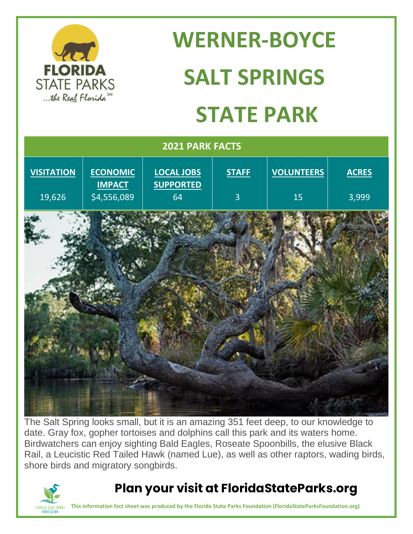

# **WERNER-BOYCE SALT SPRINGS STATE PARK**

| 2021 PARK FACTS   |                                  |                                |                |                   |              |
|-------------------|----------------------------------|--------------------------------|----------------|-------------------|--------------|
| <b>VISITATION</b> | <b>ECONOMIC</b><br><b>IMPACT</b> | LOCAL JOBS<br><b>SUPPORTED</b> | <b>STAFF</b>   | <b>VOLUNTEERS</b> | <b>ACRES</b> |
| 19,626            | $\overline{54,556,089}$          | 64                             | $\overline{3}$ | 15                | 3,999        |
|                   |                                  |                                |                |                   |              |
|                   |                                  |                                |                |                   |              |
|                   |                                  |                                |                |                   |              |
|                   |                                  |                                |                |                   |              |
|                   |                                  |                                |                |                   |              |

The Salt Spring looks small, but it is an amazing 351 feet deep, to our knowledge to date. Gray fox, gopher tortoises and dolphins call this park and its waters home. Birdwatchers can enjoy sighting Bald Eagles, Roseate Spoonbills, the elusive Black Rail, a Leucistic Red Tailed Hawk (named Lue), as well as other raptors, wading birds, shore birds and migratory songbirds.



#### **Plan your visit at FloridaStateParks.org**

**This information fact sheet was produced by the Florida State Parks Foundation (FloridaStateParksFoundation.org)**